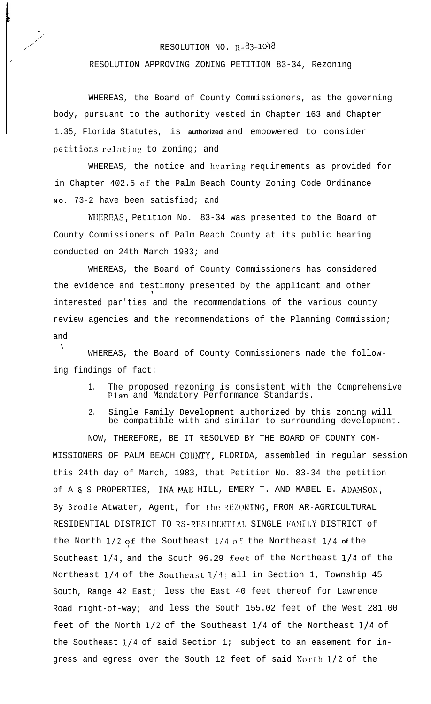## RESOLUTION NO.  $R - 83 - 1048$

 $\cdot$  ,  $\cdot'$ <' ,A' ,' ,' ./ \_a I

RESOLUTION APPROVING ZONING PETITION 83-34, Rezoning

WHEREAS, the Board of County Commissioners, as the governing body, pursuant to the authority vested in Chapter 163 and Chapter 1.35, Florida Statutes, is **authorized** and empowered to consider petitions relating to zoning; and

WHEREAS, the notice and hearing requirements as provided for in Chapter 402.5 of the Palm Beach County Zoning Code Ordinance **NO.** 73-2 have been satisfied; and

WHEREAS, Petition No. 83-34 was presented to the Board of County Commissioners of Palm Beach County at its public hearing conducted on 24th March 1983; and

WHEREAS, the Board of County Commissioners has considered the evidence and testimony presented by the applicant and other 1 interested par'ties and the recommendations of the various county review agencies and the recommendations of the Planning Commission; and

\\ WHEREAS, the Board of County Commissioners made the following findings of fact:

- 1. The proposed rezoning is consistent with the Comprehensive Plan and Mandatory Performance Standards.
- 2. Single Family Development authorized by this zoning will be compatible with and similar to surrounding development.

NOW, THEREFORE, BE IT RESOLVED BY THE BOARD OF COUNTY COM-MISSIONERS OF PALM BEACH COIJNTY, FLORIDA, assembled in regular session this 24th day of March, 1983, that Petition No. 83-34 the petition of A 4 S PROPERTIES, INA MAE HILL, EMERY T. AND MABEL E. ADAMSON, By Brodie Atwater, Agent, for the REZONING, FROM AR-AGRICULTURAL RESIDENTIAL DISTRICT TO RS-RESIDENTIAL SINGLE FAMILY DISTRICT of the North 1/2 of the Southeast 1/4 of the Northeast 1/4 of the Southeast  $1/4$ , and the South 96.29 feet of the Northeast  $1/4$  of the Northeast  $1/4$  of the Southeast  $1/4$ ; all in Section 1, Township 45 South, Range 42 East; less the East 40 feet thereof for Lawrence Road right-of-way; and less the South 155.02 feet of the West 281.00 feet of the North l/2 of the Southeast l/4 of the Northeast l/4 of the Southeast  $1/4$  of said Section 1; subject to an easement for ingress and egress over the South 12 feet of said North l/2 of the